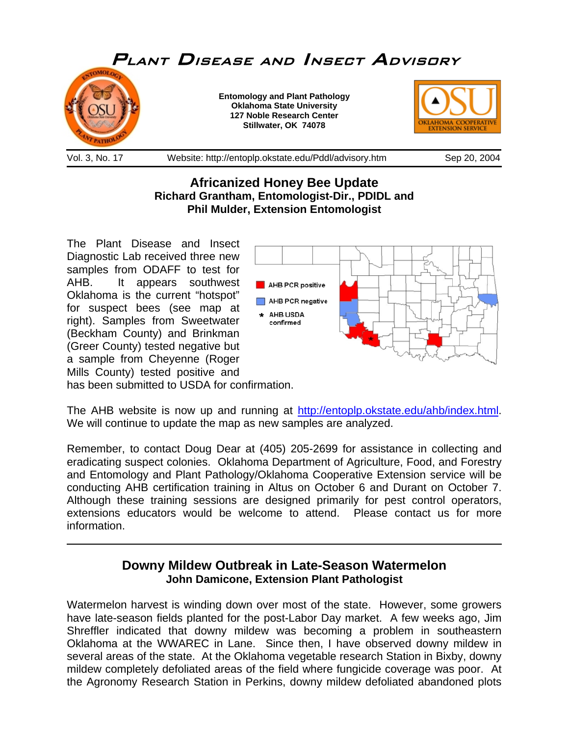

**Africanized Honey Bee Update Richard Grantham, Entomologist-Dir., PDIDL and Phil Mulder, Extension Entomologist** 

The Plant Disease and Insect Diagnostic Lab received three new samples from ODAFF to test for AHB. It appears southwest Oklahoma is the current "hotspot" for suspect bees (see map at right). Samples from Sweetwater (Beckham County) and Brinkman (Greer County) tested negative but a sample from Cheyenne (Roger Mills County) tested positive and has been submitted to USDA for confirmation.

 $\overline{a}$ 



The AHB website is now up and running at [http://entoplp.okstate.edu/ahb/index.html.](http://entoplp.okstate.edu/ahb/index.html) We will continue to update the map as new samples are analyzed.

Remember, to contact Doug Dear at (405) 205-2699 for assistance in collecting and eradicating suspect colonies. Oklahoma Department of Agriculture, Food, and Forestry and Entomology and Plant Pathology/Oklahoma Cooperative Extension service will be conducting AHB certification training in Altus on October 6 and Durant on October 7. Although these training sessions are designed primarily for pest control operators, extensions educators would be welcome to attend. Please contact us for more information.

## **Downy Mildew Outbreak in Late-Season Watermelon John Damicone, Extension Plant Pathologist**

Watermelon harvest is winding down over most of the state. However, some growers have late-season fields planted for the post-Labor Day market. A few weeks ago, Jim Shreffler indicated that downy mildew was becoming a problem in southeastern Oklahoma at the WWAREC in Lane. Since then, I have observed downy mildew in several areas of the state. At the Oklahoma vegetable research Station in Bixby, downy mildew completely defoliated areas of the field where fungicide coverage was poor. At the Agronomy Research Station in Perkins, downy mildew defoliated abandoned plots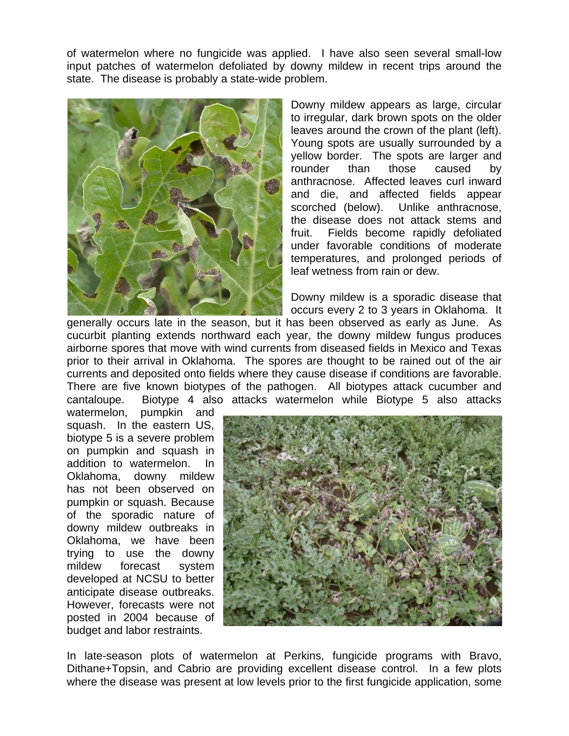of watermelon where no fungicide was applied. I have also seen several small-low input patches of watermelon defoliated by downy mildew in recent trips around the state. The disease is probably a state-wide problem.



Downy mildew appears as large, circular to irregular, dark brown spots on the older leaves around the crown of the plant (left). Young spots are usually surrounded by a yellow border. The spots are larger and rounder than those caused by anthracnose. Affected leaves curl inward and die, and affected fields appear scorched (below). Unlike anthracnose, the disease does not attack stems and fruit. Fields become rapidly defoliated under favorable conditions of moderate temperatures, and prolonged periods of leaf wetness from rain or dew.

Downy mildew is a sporadic disease that occurs every 2 to 3 years in Oklahoma. It

generally occurs late in the season, but it has been observed as early as June. As cucurbit planting extends northward each year, the downy mildew fungus produces airborne spores that move with wind currents from diseased fields in Mexico and Texas prior to their arrival in Oklahoma. The spores are thought to be rained out of the air currents and deposited onto fields where they cause disease if conditions are favorable. There are five known biotypes of the pathogen. All biotypes attack cucumber and cantaloupe. Biotype 4 also attacks watermelon while Biotype 5 also attacks

watermelon, pumpkin and squash. In the eastern US, biotype 5 is a severe problem on pumpkin and squash in addition to watermelon. In Oklahoma, downy mildew has not been observed on pumpkin or squash. Because of the sporadic nature of downy mildew outbreaks in Oklahoma, we have been trying to use the downy mildew forecast system developed at NCSU to better anticipate disease outbreaks. However, forecasts were not posted in 2004 because of budget and labor restraints.



In late-season plots of watermelon at Perkins, fungicide programs with Bravo, Dithane+Topsin, and Cabrio are providing excellent disease control. In a few plots where the disease was present at low levels prior to the first fungicide application, some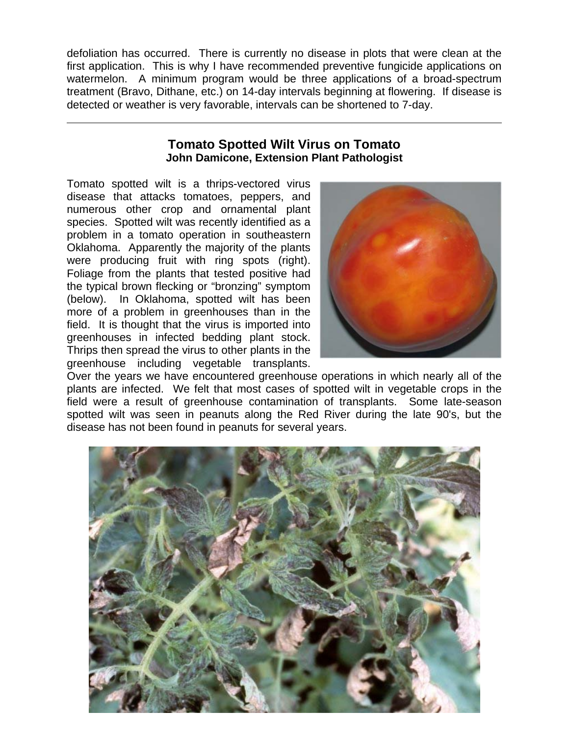defoliation has occurred. There is currently no disease in plots that were clean at the first application. This is why I have recommended preventive fungicide applications on watermelon. A minimum program would be three applications of a broad-spectrum treatment (Bravo, Dithane, etc.) on 14-day intervals beginning at flowering. If disease is detected or weather is very favorable, intervals can be shortened to 7-day.

## **Tomato Spotted Wilt Virus on Tomato John Damicone, Extension Plant Pathologist**

Tomato spotted wilt is a thrips-vectored virus disease that attacks tomatoes, peppers, and numerous other crop and ornamental plant species. Spotted wilt was recently identified as a problem in a tomato operation in southeastern Oklahoma. Apparently the majority of the plants were producing fruit with ring spots (right). Foliage from the plants that tested positive had the typical brown flecking or "bronzing" symptom (below). In Oklahoma, spotted wilt has been more of a problem in greenhouses than in the field. It is thought that the virus is imported into greenhouses in infected bedding plant stock. Thrips then spread the virus to other plants in the greenhouse including vegetable transplants.

 $\overline{a}$ 



Over the years we have encountered greenhouse operations in which nearly all of the plants are infected. We felt that most cases of spotted wilt in vegetable crops in the field were a result of greenhouse contamination of transplants. Some late-season spotted wilt was seen in peanuts along the Red River during the late 90's, but the disease has not been found in peanuts for several years.